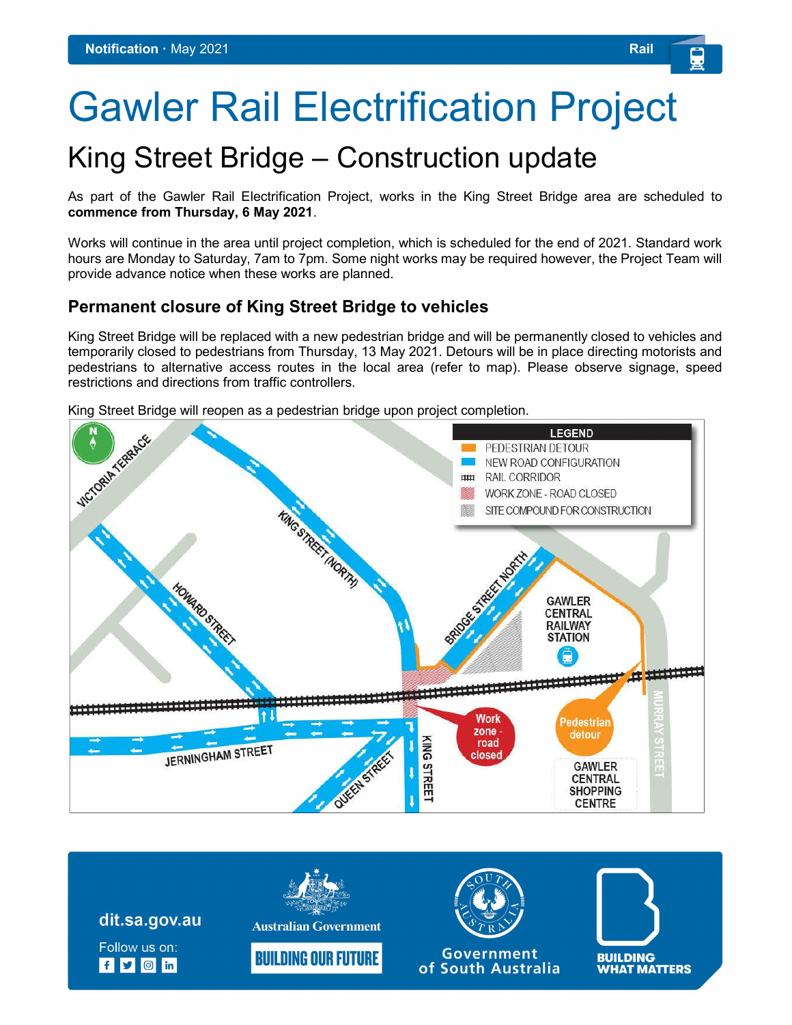# Gawler Rail Electrification Project

# King Street Bridge – Construction update

As part of the Gawler Rail Electrification Project, works in the King Street Bridge area are scheduled to commence from Thursday, 6 May 2021.

Works will continue in the area until project completion, which is scheduled for the end of 2021. Standard work hours are Monday to Saturday, 7am to 7pm. Some night works may be required however, the Project Team will provide advance notice when these works are planned.

#### Permanent closure of King Street Bridge to vehicles

King Street Bridge will be replaced with a new pedestrian bridge and will be permanently closed to vehicles and temporarily closed to pedestrians from Thursday, 13 May 2021. Detours will be in place directing motorists and pedestrians to alternative access routes in the local area (refer to map). Please observe signage, speed restrictions and directions from traffic controllers.

King Street Bridge will reopen as a pedestrian bridge upon project completion.